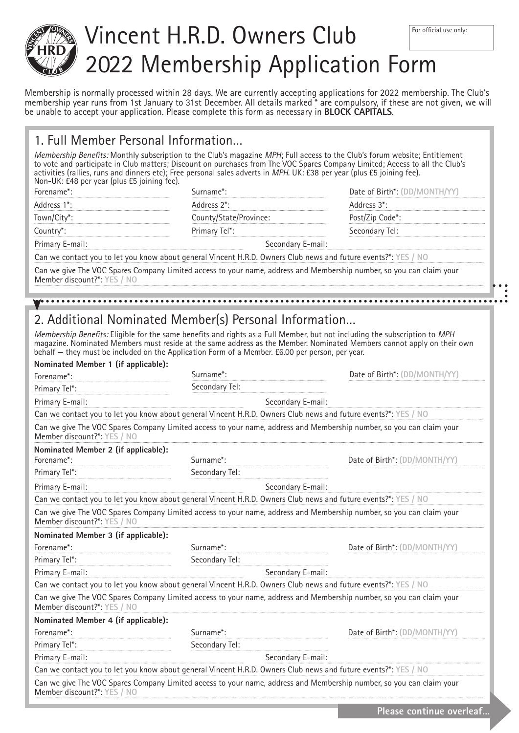

# Vincent H.R.D. Owners Club 2022 Membership Application Form For official use only:

Membership is normally processed within 28 days. We are currently accepting applications for 2022 membership. The Club's membership year runs from 1st January to 31st December. All details marked \* are compulsory, if these are not given, we will be unable to accept your application. Please complete this form as necessary in **BLOCK CAPITALS**.

|  |  |  |  | 1. Full Member Personal Information |
|--|--|--|--|-------------------------------------|
|--|--|--|--|-------------------------------------|

Membership Benefits: Monthly subscription to the Club's magazine *MPH*; Full access to the Club's forum website; Entitlement to vote and participate in Club matters; Discount on purchases from The VOC Spares Company Limited; Access to all the Club's activities (rallies, runs and dinners etc); Free personal sales adverts in *MPH*. UK: £38 per year (plus £5 joining fee). Non-UK: £48 per year (plus £5 joining fee).

| Address 2 <sup>*</sup> : |                              |
|--------------------------|------------------------------|
|                          | .*3. Address                 |
| County/State/Province:   | Post/Zip Code <sup>*</sup> : |
| Primary Tel*:            | Secondary Tel:               |
| Secondary E-mail:        |                              |
|                          |                              |

Can we contact you to let you know about general Vincent H.R.D. Owners Club news and future events?\*: **YES / NO** Can we give The VOC Spares Company Limited access to your name, address and Membership number, so you can claim your

Member discount?\*: **YES / NO**

# 2. Additional Nominated Member(s) Personal Information…

Membership Benefits: Eligible for the same benefits and rights as a Full Member, but not including the subscription to *MPH* magazine. Nominated Members must reside at the same address as the Member. Nominated Members cannot apply on their own behalf — they must be included on the Application Form of a Member. £6.00 per person, per year. **Nominated Member 1 (if applicable):**

| Nominated Member 1 (if applicable):<br>Forename*: | Surname*:                                                                                                      | Date of Birth*: (DD/MONTH/YY)                                                                                        |
|---------------------------------------------------|----------------------------------------------------------------------------------------------------------------|----------------------------------------------------------------------------------------------------------------------|
| Primary Tel*:                                     | Secondary Tel:                                                                                                 |                                                                                                                      |
| Primary E-mail:                                   |                                                                                                                | Secondary E-mail:                                                                                                    |
|                                                   | Can we contact you to let you know about general Vincent H.R.D. Owners Club news and future events?*: YES / NO |                                                                                                                      |
| Member discount?*: YES / NO                       |                                                                                                                | Can we give The VOC Spares Company Limited access to your name, address and Membership number, so you can claim your |
| Nominated Member 2 (if applicable):               |                                                                                                                |                                                                                                                      |
| Forename*:                                        | Surname*:                                                                                                      | Date of Birth*: (DD/MONTH/YY)                                                                                        |
| Primary Tel*:                                     | Secondary Tel:                                                                                                 |                                                                                                                      |
| Primary E-mail:                                   |                                                                                                                | Secondary E-mail:                                                                                                    |
|                                                   | Can we contact you to let you know about general Vincent H.R.D. Owners Club news and future events?*: YES / NO |                                                                                                                      |
| Member discount?*: YES / NO                       |                                                                                                                | Can we give The VOC Spares Company Limited access to your name, address and Membership number, so you can claim your |
| Nominated Member 3 (if applicable):               |                                                                                                                |                                                                                                                      |
| Forename*:                                        | Surname*:                                                                                                      | Date of Birth*: (DD/MONTH/YY)                                                                                        |
| Primary Tel*:                                     | Secondary Tel:                                                                                                 |                                                                                                                      |
| Primary E-mail:                                   |                                                                                                                | Secondary E-mail:                                                                                                    |
|                                                   | Can we contact you to let you know about general Vincent H.R.D. Owners Club news and future events?*: YES / NO |                                                                                                                      |
| Member discount?*: YES / NO                       |                                                                                                                | Can we give The VOC Spares Company Limited access to your name, address and Membership number, so you can claim your |
| Nominated Member 4 (if applicable):               |                                                                                                                |                                                                                                                      |
| Forename*:                                        | Surname*:<br>Date of Birth*: (DD/MONTH/YY)                                                                     |                                                                                                                      |
| Primary Tel*:                                     | Secondary Tel:                                                                                                 |                                                                                                                      |
| Primary E-mail:                                   |                                                                                                                | Secondary E-mail:                                                                                                    |
|                                                   | Can we contact you to let you know about general Vincent H.R.D. Owners Club news and future events?*: YES / NO |                                                                                                                      |
| Member discount?*: YES / NO                       |                                                                                                                | Can we give The VOC Spares Company Limited access to your name, address and Membership number, so you can claim your |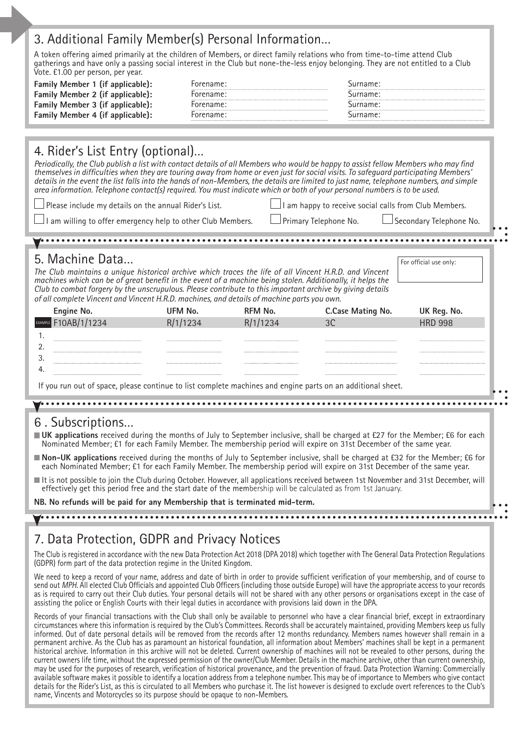#### 3. Additional Family Member(s) Personal Information…

A token offering aimed primarily at the children of Members, or direct family relations who from time-to-time attend Club gatherings and have only a passing social interest in the Club but none-the-less enjoy belonging. They are not entitled to a Club Vote. £1.00 per person, per year.

| Family Member 1 (if applicable): | Forename: | Surname: |
|----------------------------------|-----------|----------|
| Family Member 2 (if applicable): | Forename  | Surname  |
| Family Member 3 (if applicable): | Forename: | Surname: |
| Family Member 4 (if applicable): | Forename: | Surname  |

### 4. Rider's List Entry (optional)…

*Periodically, the Club publish a list with contact details of all Members who would be happy to assist fellow Members who may find themselves in difficulties when they are touring away from home or even just for social visits. To safeguard participating Members'*  details in the event the list falls into the hands of non-Members, the details are limited to just name, telephone numbers, and simple *area information. Telephone contact(s) required. You must indicate which or both of your personal numbers is to be used.*

Please include my details on the annual Rider's List.

I am happy to receive social calls from Club Members.

am willing to offer emergency help to other Club Members.

Primary Telephone No. **Secondary Telephone No.** 

| 5. Machine Data                                                                                                                                                                                                                                                                                                                                                                                                                |          |                |                   | For official use only: |
|--------------------------------------------------------------------------------------------------------------------------------------------------------------------------------------------------------------------------------------------------------------------------------------------------------------------------------------------------------------------------------------------------------------------------------|----------|----------------|-------------------|------------------------|
| The Club maintains a unique historical archive which traces the life of all Vincent H.R.D. and Vincent<br>machines which can be of great benefit in the event of a machine being stolen. Additionally, it helps the<br>Club to combat forgery by the unscrupulous. Please contribute to this important archive by giving details<br>of all complete Vincent and Vincent H.R.D. machines, and details of machine parts you own. |          |                |                   |                        |
| Engine No.                                                                                                                                                                                                                                                                                                                                                                                                                     | UFM No.  | <b>RFM No.</b> | C.Case Mating No. | UK Reg. No.            |
| <b>EXAMPLE</b> F10AB/1/1234                                                                                                                                                                                                                                                                                                                                                                                                    | R/1/1234 | R/1/1234       | 3C                | <b>HRD 998</b>         |
| 1.                                                                                                                                                                                                                                                                                                                                                                                                                             |          |                |                   |                        |
| 2.                                                                                                                                                                                                                                                                                                                                                                                                                             |          |                |                   |                        |
| 3.                                                                                                                                                                                                                                                                                                                                                                                                                             |          |                |                   |                        |
| 4.                                                                                                                                                                                                                                                                                                                                                                                                                             |          |                |                   |                        |
| If you run out of space, please continue to list complete machines and engine parts on an additional sheet.                                                                                                                                                                                                                                                                                                                    |          |                |                   |                        |
|                                                                                                                                                                                                                                                                                                                                                                                                                                |          |                |                   |                        |
|                                                                                                                                                                                                                                                                                                                                                                                                                                |          |                |                   |                        |
| 6. Subscriptions                                                                                                                                                                                                                                                                                                                                                                                                               |          |                |                   |                        |
| UK applications received during the months of July to September inclusive, shall be charged at £27 for the Member; £6 for each                                                                                                                                                                                                                                                                                                 |          |                |                   |                        |

■ **Non-UK applications** received during the months of July to September inclusive, shall be charged at £32 for the Member; £6 for each Nominated Member; £1 for each Family Member. The membership period will expire on 31st December of the same year.

It is not possible to join the Club during October. However, all applications received between 1st November and 31st December, will effectively get this period free and the start date of the membership will be calculated as from 1st January.

**NB. No refunds will be paid for any Membership that is terminated mid-term.**

# 7. Data Protection, GDPR and Privacy Notices

The Club is registered in accordance with the new Data Protection Act 2018 (DPA 2018) which together with The General Data Protection Regulations (GDPR) form part of the data protection regime in the United Kingdom.

We need to keep a record of your name, address and date of birth in order to provide sufficient verification of your membership, and of course to send out *MPH*. All elected Club Officials and appointed Club Officers (including those outside Europe) will have the appropriate access to your records as is required to carry out their Club duties. Your personal details will not be shared with any other persons or organisations except in the case of assisting the police or English Courts with their legal duties in accordance with provisions laid down in the DPA.

Records of your financial transactions with the Club shall only be available to personnel who have a clear financial brief, except in extraordinary circumstances where this information is required by the Club's Committees. Records shall be accurately maintained, providing Members keep us fully informed. Out of date personal details will be removed from the records after 12 months redundancy. Members names however shall remain in a permanent archive. As the Club has as paramount an historical foundation, all information about Members' machines shall be kept in a permanent historical archive. Information in this archive will not be deleted. Current ownership of machines will not be revealed to other persons, during the current owners life time, without the expressed permission of the owner/Club Member. Details in the machine archive, other than current ownership, may be used for the purposes of research, verification of historical provenance, and the prevention of fraud. Data Protection Warning: Commercially available software makes it possible to identify a location address from a telephone number. This may be of importance to Members who give contact details for the Rider's List, as this is circulated to all Members who purchase it. The list however is designed to exclude overt references to the Club's name, Vincents and Motorcycles so its purpose should be opaque to non-Members.